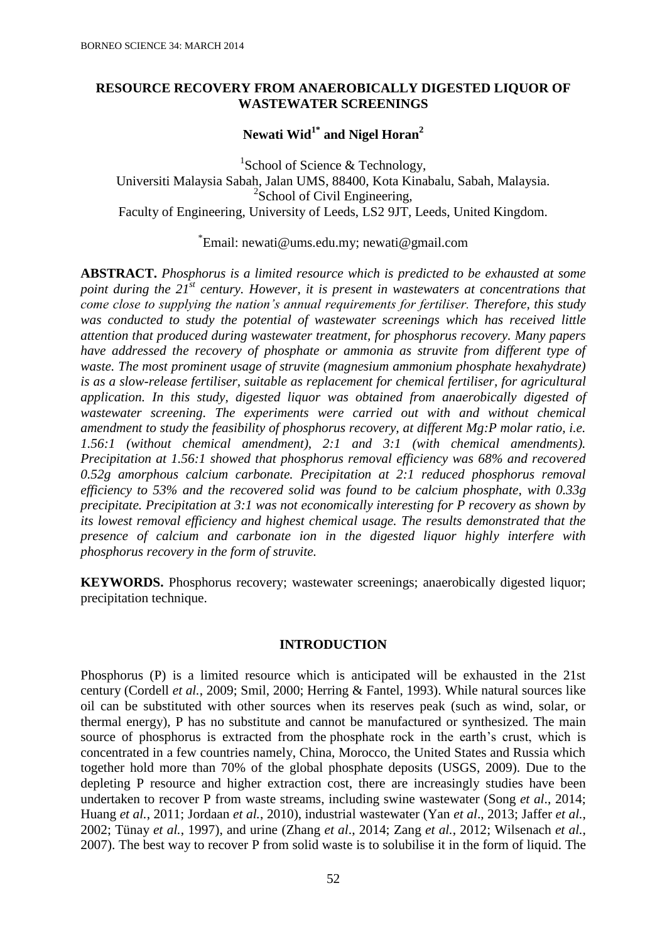# **RESOURCE RECOVERY FROM ANAEROBICALLY DIGESTED LIQUOR OF WASTEWATER SCREENINGS**

**Newati Wid1\* and Nigel Horan<sup>2</sup>**

<sup>1</sup>School of Science & Technology, Universiti Malaysia Sabah, Jalan UMS, 88400, Kota Kinabalu, Sabah, Malaysia. <sup>2</sup>School of Civil Engineering, Faculty of Engineering, University of Leeds, LS2 9JT, Leeds, United Kingdom.

\* Email: [newati@ums.edu.my;](mailto:newati@ums.edu.my) [newati@gmail.com](mailto:newati@gmail.com)

**ABSTRACT.** *Phosphorus is a limited resource which is predicted to be exhausted at some point during the 21st century. However, it is present in wastewaters at concentrations that come close to supplying the nation's annual requirements for fertiliser. Therefore, this study was conducted to study the potential of wastewater screenings which has received little attention that produced during wastewater treatment, for phosphorus recovery. Many papers have addressed the recovery of phosphate or ammonia as struvite from different type of waste. The most prominent usage of struvite (magnesium ammonium phosphate hexahydrate) is as a slow-release fertiliser, suitable as replacement for chemical fertiliser, for agricultural application. In this study, digested liquor was obtained from anaerobically digested of wastewater screening. The experiments were carried out with and without chemical amendment to study the feasibility of phosphorus recovery, at different Mg:P molar ratio, i.e. 1.56:1 (without chemical amendment), 2:1 and 3:1 (with chemical amendments). Precipitation at 1.56:1 showed that phosphorus removal efficiency was 68% and recovered 0.52g amorphous calcium carbonate. Precipitation at 2:1 reduced phosphorus removal efficiency to 53% and the recovered solid was found to be calcium phosphate, with 0.33g precipitate. Precipitation at 3:1 was not economically interesting for P recovery as shown by its lowest removal efficiency and highest chemical usage. The results demonstrated that the presence of calcium and carbonate ion in the digested liquor highly interfere with phosphorus recovery in the form of struvite.*

**KEYWORDS.** Phosphorus recovery; wastewater screenings; anaerobically digested liquor; precipitation technique.

# **INTRODUCTION**

Phosphorus (P) is a limited resource which is anticipated will be exhausted in the 21st century (Cordell *et al.*, 2009; [Smil, 2000;](#page-5-0) Herring & Fantel, 1993). While natural sources like oil can be substituted with other sources when its reserves peak (such as wind, solar, or thermal energy), P has no substitute and cannot be manufactured or synthesized. The main source of phosphorus is extracted from the phosphate rock in the earth's crust, which is concentrated in a few countries namely, China, Morocco, the United States and Russia which together hold more than 70% of the global phosphate deposits (USGS, 2009). Due to the depleting P resource and higher extraction cost, there are increasingly studies have been undertaken to recover P from waste streams, including swine wastewater (Song *et al*., 2014; Huang *et al.*[, 2011;](#page-6-0) [Jordaan](#page-6-1) *et al.*, 2010), industrial wastewater (Yan *et al*., 2013; [Jaffer](#page-6-2) *et al.*, [2002;](#page-6-2) [Tünay](#page-7-0) *et al.*, 1997), and urine (Zhang *et al*., 2014; Zang *et al.*, 2012; Wilsenach *et al.*, 2007). The best way to recover P from solid waste is to solubilise it in the form of liquid. The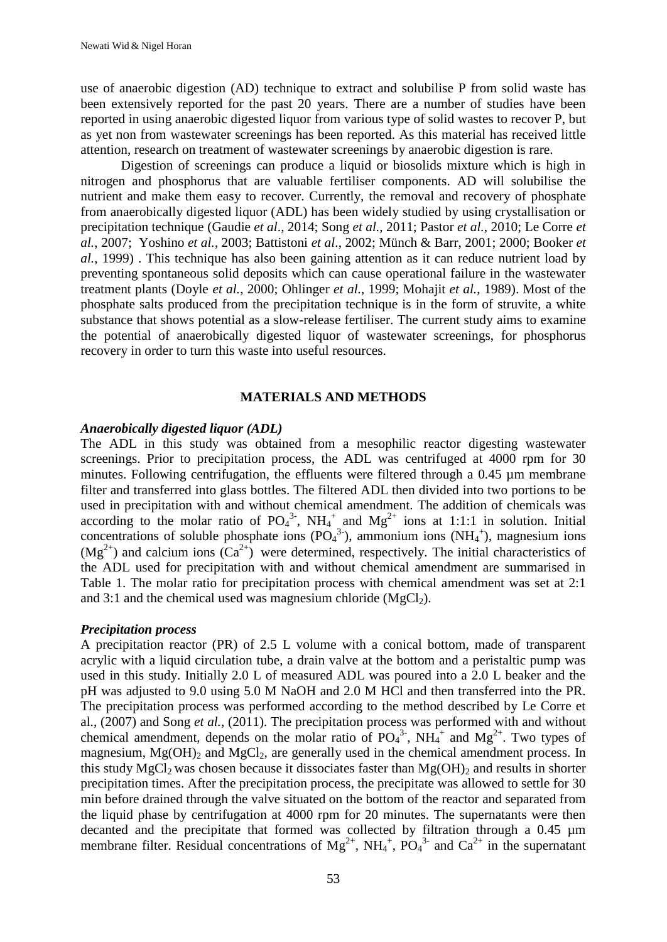use of anaerobic digestion (AD) technique to extract and solubilise P from solid waste has been extensively reported for the past 20 years. There are a number of studies have been reported in using anaerobic digested liquor from various type of solid wastes to recover P, but as yet non from wastewater screenings has been reported. As this material has received little attention, research on treatment of wastewater screenings by anaerobic digestion is rare.

Digestion of screenings can produce a liquid or biosolids mixture which is high in nitrogen and phosphorus that are valuable fertiliser components. AD will solubilise the nutrient and make them easy to recover. Currently, the removal and recovery of phosphate from anaerobically digested liquor (ADL) has been widely studied by using crystallisation or precipitation technique (Gaudie *et al*., 2014; Song *et al.*[, 2011;](#page-6-3) [Pastor](#page-6-4) *et al.*, 2010; Le Corre *et al.*, 2007; Yoshino *et al.*, 2003; Battistoni *et al*., 2002; Münch & Barr, 2001; 2000; [Booker](#page-5-0) *et al.*[, 1999\)](#page-5-0) . This technique has also been gaining attention as it can reduce nutrient load by preventing spontaneous solid deposits which can cause operational failure in the wastewater treatment plants (Doyle *et al.*, 2000; [Ohlinger](#page-6-5) *et al.*, 1999; [Mohajit](#page-6-6) *et al.*, 1989). Most of the phosphate salts produced from the precipitation technique is in the form of struvite, a white substance that shows potential as a slow-release fertiliser. The current study aims to examine the potential of anaerobically digested liquor of wastewater screenings, for phosphorus recovery in order to turn this waste into useful resources.

### **MATERIALS AND METHODS**

### *Anaerobically digested liquor (ADL)*

The ADL in this study was obtained from a mesophilic reactor digesting wastewater screenings. Prior to precipitation process, the ADL was centrifuged at 4000 rpm for 30 minutes. Following centrifugation, the effluents were filtered through a 0.45 µm membrane filter and transferred into glass bottles. The filtered ADL then divided into two portions to be used in precipitation with and without chemical amendment. The addition of chemicals was according to the molar ratio of  $PO_4^{3}$ ,  $NH_4^+$  and  $Mg^{2+}$  ions at 1:1:1 in solution. Initial concentrations of soluble phosphate ions  $(PO<sub>4</sub><sup>3</sup>)$ , ammonium ions  $(NH<sub>4</sub><sup>+</sup>)$ , magnesium ions  $(Mg<sup>2+</sup>)$  and calcium ions  $(Ca<sup>2+</sup>)$  were determined, respectively. The initial characteristics of the ADL used for precipitation with and without chemical amendment are summarised in Table 1. The molar ratio for precipitation process with chemical amendment was set at 2:1 and 3:1 and the chemical used was magnesium chloride  $(MgCl<sub>2</sub>)$ .

### *Precipitation process*

A precipitation reactor (PR) of 2.5 L volume with a conical bottom, made of transparent acrylic with a liquid circulation tube, a drain valve at the bottom and a peristaltic pump was used in this study. Initially 2.0 L of measured ADL was poured into a 2.0 L beaker and the pH was adjusted to 9.0 using 5.0 M NaOH and 2.0 M HCl and then transferred into the PR. The precipitation process was performed according to the method described by Le Corre et al., (2007) and Song *et al.*[, \(2011\)](#page-6-3). The precipitation process was performed with and without chemical amendment, depends on the molar ratio of  $PO<sub>4</sub><sup>3</sup>$ , NH<sub>4</sub><sup>+</sup> and Mg<sup>2+</sup>. Two types of magnesium,  $Mg(OH)$ <sub>2</sub> and  $MgCl<sub>2</sub>$ , are generally used in the chemical amendment process. In this study  $MgCl<sub>2</sub>$  was chosen because it dissociates faster than  $Mg(OH)<sub>2</sub>$  and results in shorter precipitation times. After the precipitation process, the precipitate was allowed to settle for 30 min before drained through the valve situated on the bottom of the reactor and separated from the liquid phase by centrifugation at 4000 rpm for 20 minutes. The supernatants were then decanted and the precipitate that formed was collected by filtration through a 0.45 µm membrane filter. Residual concentrations of  $Mg^{2+}$ ,  $NH_4^+$ ,  $PO_4^{3-}$  and  $Ca^{2+}$  in the supernatant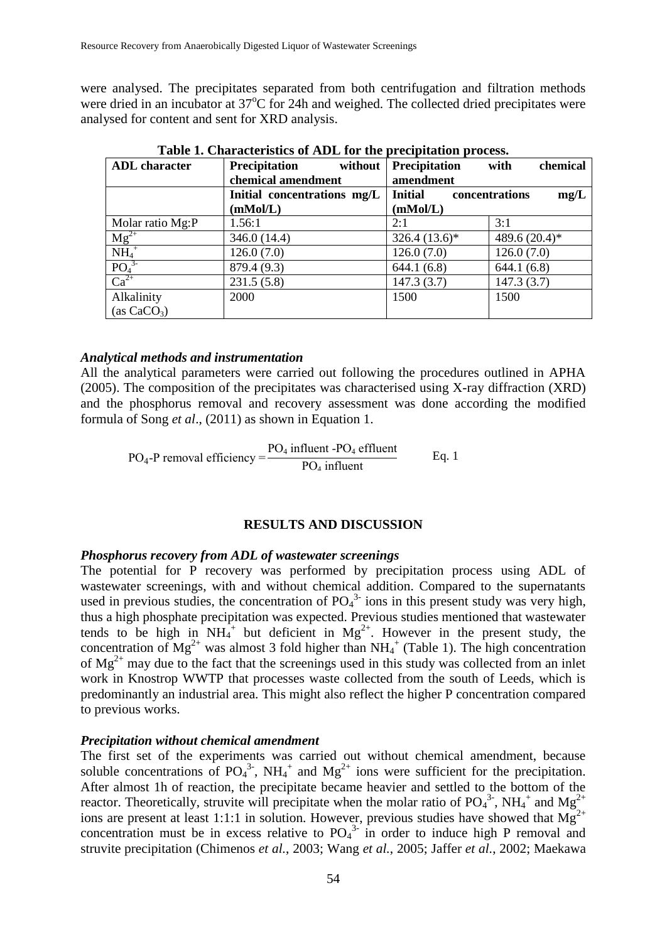were analysed. The precipitates separated from both centrifugation and filtration methods were dried in an incubator at 37<sup>o</sup>C for 24h and weighed. The collected dried precipitates were analysed for content and sent for XRD analysis.

| <b>ADL</b> character       | <b>Precipitation</b><br>without | <b>Precipitation</b> | chemical<br>with       |
|----------------------------|---------------------------------|----------------------|------------------------|
|                            | chemical amendment              | amendment            |                        |
|                            | Initial concentrations mg/L     | <b>Initial</b>       | concentrations<br>mg/L |
|                            | (mMol/L)                        | (mMol/L)             |                        |
| Molar ratio Mg:P           | 1.56:1                          | 2:1                  | 3:1                    |
| $Mg^{2+}$                  | 346.0 (14.4)                    | $326.4(13.6)*$       | 489.6 (20.4)*          |
| $\overline{\text{NH}_4}^+$ | 126.0(7.0)                      | 126.0(7.0)           | 126.0(7.0)             |
| $\overline{PO_4}^{3}$      | 879.4 (9.3)                     | 644.1(6.8)           | 644.1(6.8)             |
| $Ca^{2+}$                  | 231.5(5.8)                      | 147.3(3.7)           | 147.3(3.7)             |
| Alkalinity                 | 2000                            | 1500                 | 1500                   |
| (as CaCO <sub>3</sub> )    |                                 |                      |                        |

**Table 1. Characteristics of ADL for the precipitation process.**

### *Analytical methods and instrumentation*

All the analytical parameters were carried out following the procedures outlined in APHA (2005). The composition of the precipitates was characterised using X-ray diffraction (XRD) and the phosphorus removal and recovery assessment was done according the modified formula of Song *et al*., (2011) as shown in Equation 1.

 $PO<sub>4</sub>$ -P removal efficiency  $PO<sub>4</sub>$  influent -PO<sub>4</sub> effluent  $PO<sub>4</sub>$  influent Eq. 1

# **RESULTS AND DISCUSSION**

### *Phosphorus recovery from ADL of wastewater screenings*

The potential for P recovery was performed by precipitation process using ADL of wastewater screenings, with and without chemical addition. Compared to the supernatants used in previous studies, the concentration of  $PO<sub>4</sub><sup>3</sup>$  ions in this present study was very high, thus a high phosphate precipitation was expected. Previous studies mentioned that wastewater tends to be high in  $NH_4^+$  but deficient in  $Mg^{2+}$ . However in the present study, the concentration of  $Mg^{2+}$  was almost 3 fold higher than  $NH_4^+$  (Table 1). The high concentration of  $Mg^{2+}$  may due to the fact that the screenings used in this study was collected from an inlet work in Knostrop WWTP that processes waste collected from the south of Leeds, which is predominantly an industrial area. This might also reflect the higher P concentration compared to previous works.

### *Precipitation without chemical amendment*

The first set of the experiments was carried out without chemical amendment, because soluble concentrations of  $PO_4^3$ , NH<sub>4</sub><sup>+</sup> and Mg<sup>2+</sup> ions were sufficient for the precipitation. After almost 1h of reaction, the precipitate became heavier and settled to the bottom of the reactor. Theoretically, struvite will precipitate when the molar ratio of  $PO_4^{3}$ , NH<sub>4</sub><sup>+</sup> and Mg<sup>2+</sup> ions are present at least 1:1:1 in solution. However, previous studies have showed that  $Mg^{2+}$ concentration must be in excess relative to  $PO_4^3$  in order to induce high P removal and struvite precipitation (Chimenos *et al.*, 2003; Wang *et al.*, 2005; Jaffer *et al.*, 2002; Maekawa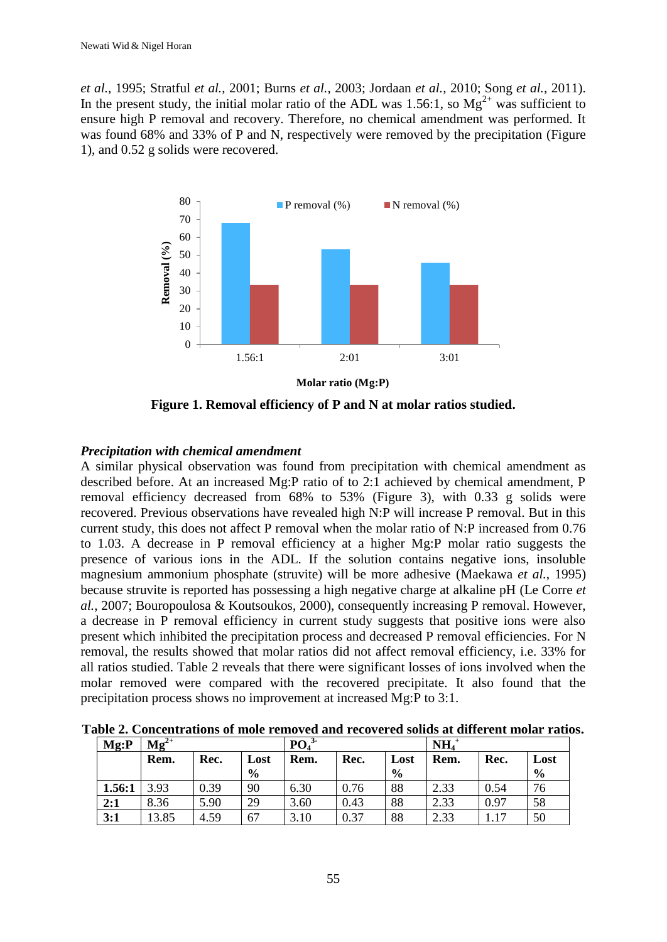*et al.*, 1995; Stratful *et al.*, 2001; Burns *et al.*, 2003; Jordaan *et al.*, 2010; Song *et al.*, 2011). In the present study, the initial molar ratio of the ADL was 1.56:1, so  $Mg^{2+}$  was sufficient to ensure high P removal and recovery. Therefore, no chemical amendment was performed. It was found 68% and 33% of P and N, respectively were removed by the precipitation (Figure 1), and 0.52 g solids were recovered.



**Figure 1. Removal efficiency of P and N at molar ratios studied.**

# *Precipitation with chemical amendment*

A similar physical observation was found from precipitation with chemical amendment as described before. At an increased Mg:P ratio of to 2:1 achieved by chemical amendment, P removal efficiency decreased from 68% to 53% (Figure 3), with 0.33 g solids were recovered. Previous observations have revealed high N:P will increase P removal. But in this current study, this does not affect P removal when the molar ratio of N:P increased from 0.76 to 1.03. A decrease in P removal efficiency at a higher Mg:P molar ratio suggests the presence of various ions in the ADL. If the solution contains negative ions, insoluble magnesium ammonium phosphate (struvite) will be more adhesive (Maekawa *et al.*, 1995) because struvite is reported has possessing a high negative charge at alkaline pH (Le Corre *et al.*, 2007; Bouropoulosa & Koutsoukos, 2000), consequently increasing P removal. However, a decrease in P removal efficiency in current study suggests that positive ions were also present which inhibited the precipitation process and decreased P removal efficiencies. For N removal, the results showed that molar ratios did not affect removal efficiency, i.e. 33% for all ratios studied. Table 2 reveals that there were significant losses of ions involved when the molar removed were compared with the recovered precipitate. It also found that the precipitation process shows no improvement at increased Mg:P to 3:1.

| Mg: P  | $Mg^{2+}$ |      |               | PO   |      |               | NH <sub>4</sub> |      |               |
|--------|-----------|------|---------------|------|------|---------------|-----------------|------|---------------|
|        | Rem.      | Rec. | Lost          | Rem. | Rec. | Lost          | Rem.            | Rec. | Lost          |
|        |           |      | $\frac{6}{9}$ |      |      | $\frac{6}{9}$ |                 |      | $\frac{6}{6}$ |
| 1.56:1 | 3.93      | 0.39 | 90            | 6.30 | 0.76 | 88            | 2.33            | 0.54 | 76            |
| 2:1    | 8.36      | 5.90 | 29            | 3.60 | 0.43 | 88            | 2.33            | 0.97 | 58            |
| 3:1    | 3.85      | 4.59 | 67            | 3.10 | 0.37 | 88            | 2.33            | 117  | 50            |

**Table 2. Concentrations of mole removed and recovered solids at different molar ratios.**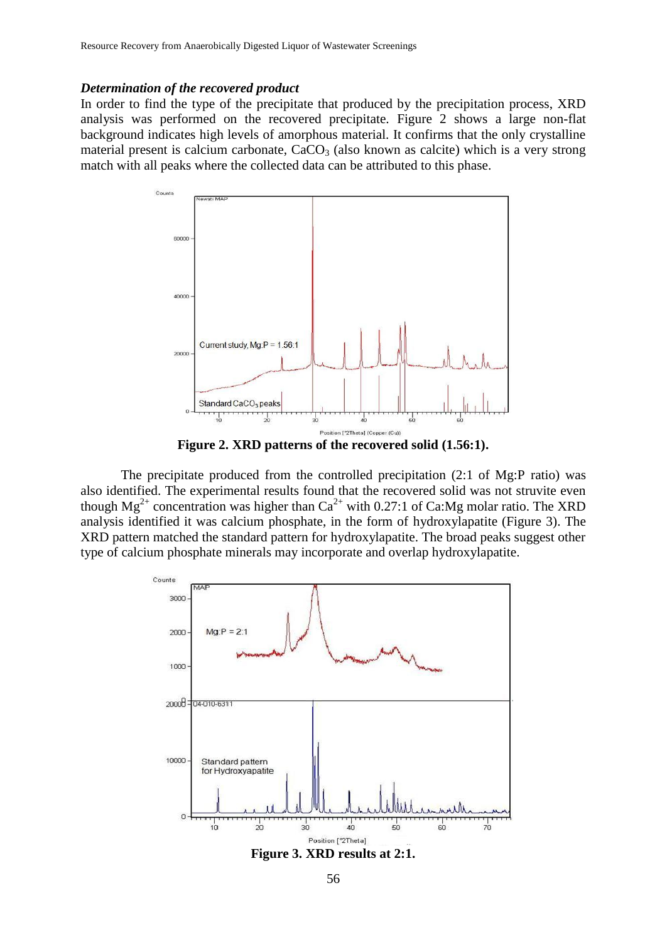#### *Determination of the recovered product*

In order to find the type of the precipitate that produced by the precipitation process, XRD analysis was performed on the recovered precipitate. Figure 2 shows a large non-flat background indicates high levels of amorphous material. It confirms that the only crystalline material present is calcium carbonate,  $CaCO<sub>3</sub>$  (also known as calcite) which is a very strong match with all peaks where the collected data can be attributed to this phase.



**Figure 2. XRD patterns of the recovered solid (1.56:1).**

The precipitate produced from the controlled precipitation (2:1 of Mg:P ratio) was also identified. The experimental results found that the recovered solid was not struvite even though  $Mg^{2+}$  concentration was higher than  $Ca^{2+}$  with 0.27:1 of Ca:Mg molar ratio. The XRD analysis identified it was calcium phosphate, in the form of hydroxylapatite (Figure 3). The XRD pattern matched the standard pattern for hydroxylapatite. The broad peaks suggest other type of calcium phosphate minerals may incorporate and overlap hydroxylapatite.



56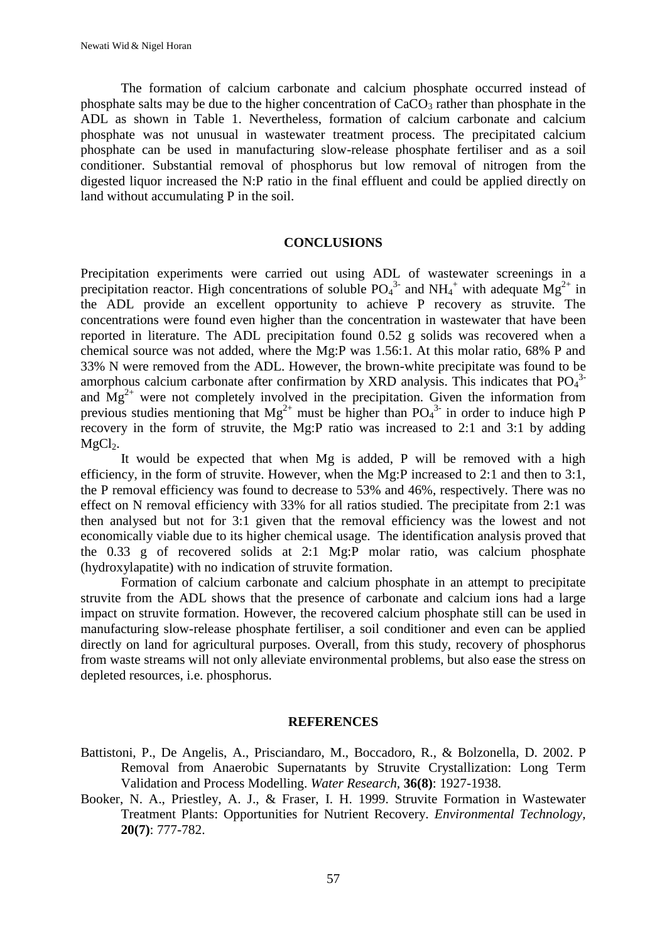The formation of calcium carbonate and calcium phosphate occurred instead of phosphate salts may be due to the higher concentration of  $CaCO<sub>3</sub>$  rather than phosphate in the ADL as shown in Table 1. Nevertheless, formation of calcium carbonate and calcium phosphate was not unusual in wastewater treatment process. The precipitated calcium phosphate can be used in manufacturing slow-release phosphate fertiliser and as a soil conditioner. Substantial removal of phosphorus but low removal of nitrogen from the digested liquor increased the N:P ratio in the final effluent and could be applied directly on land without accumulating P in the soil.

### **CONCLUSIONS**

Precipitation experiments were carried out using ADL of wastewater screenings in a precipitation reactor. High concentrations of soluble  $PO_4^3$  and  $NH_4^+$  with adequate  $Mg^{2+}$  in the ADL provide an excellent opportunity to achieve P recovery as struvite. The concentrations were found even higher than the concentration in wastewater that have been reported in literature. The ADL precipitation found 0.52 g solids was recovered when a chemical source was not added, where the Mg:P was 1.56:1. At this molar ratio, 68% P and 33% N were removed from the ADL. However, the brown-white precipitate was found to be amorphous calcium carbonate after confirmation by XRD analysis. This indicates that  $PO<sub>4</sub><sup>3</sup>$ and  $Mg^{2+}$  were not completely involved in the precipitation. Given the information from previous studies mentioning that  $Mg^{2+}$  must be higher than  $PO_4^{3-}$  in order to induce high P recovery in the form of struvite, the Mg:P ratio was increased to 2:1 and 3:1 by adding  $MgCl<sub>2</sub>$ .

It would be expected that when Mg is added, P will be removed with a high efficiency, in the form of struvite. However, when the Mg:P increased to 2:1 and then to 3:1, the P removal efficiency was found to decrease to 53% and 46%, respectively. There was no effect on N removal efficiency with 33% for all ratios studied. The precipitate from 2:1 was then analysed but not for 3:1 given that the removal efficiency was the lowest and not economically viable due to its higher chemical usage. The identification analysis proved that the 0.33 g of recovered solids at 2:1 Mg:P molar ratio, was calcium phosphate (hydroxylapatite) with no indication of struvite formation.

Formation of calcium carbonate and calcium phosphate in an attempt to precipitate struvite from the ADL shows that the presence of carbonate and calcium ions had a large impact on struvite formation. However, the recovered calcium phosphate still can be used in manufacturing slow-release phosphate fertiliser, a soil conditioner and even can be applied directly on land for agricultural purposes. Overall, from this study, recovery of phosphorus from waste streams will not only alleviate environmental problems, but also ease the stress on depleted resources, i.e. phosphorus.

#### **REFERENCES**

- Battistoni, P., De Angelis, A., Prisciandaro, M., Boccadoro, R., & Bolzonella, D. 2002. P Removal from Anaerobic Supernatants by Struvite Crystallization: Long Term Validation and Process Modelling. *Water Research,* **36(8)**: 1927-1938.
- <span id="page-5-0"></span>Booker, N. A., Priestley, A. J., & Fraser, I. H. 1999. Struvite Formation in Wastewater Treatment Plants: Opportunities for Nutrient Recovery. *Environmental Technology,* **20(7)**: 777-782.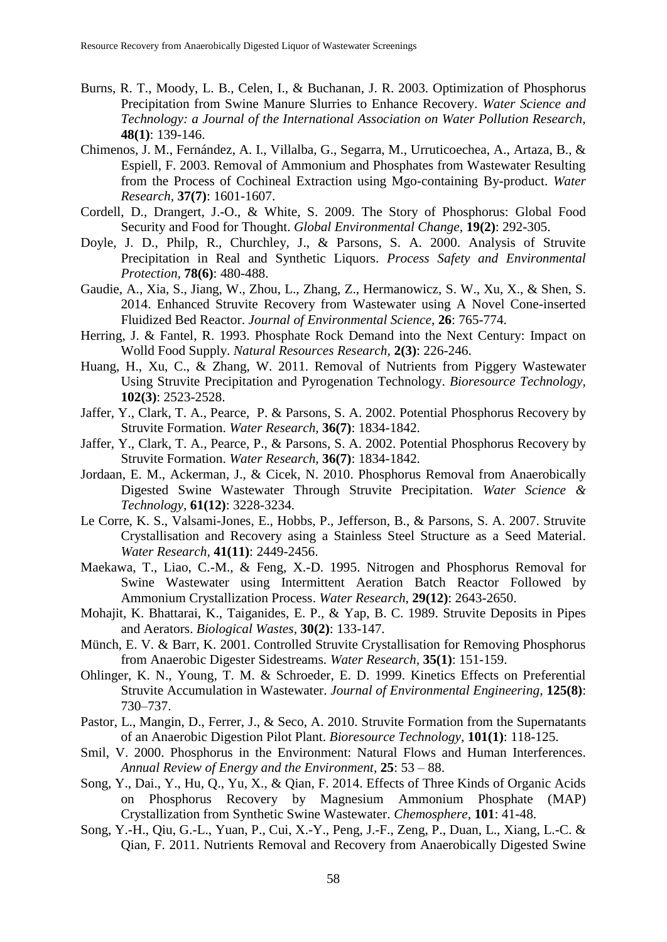- Burns, R. T., Moody, L. B., Celen, I., & Buchanan, J. R. 2003. Optimization of Phosphorus Precipitation from Swine Manure Slurries to Enhance Recovery. *Water Science and Technology: a Journal of the International Association on Water Pollution Research,* **48(1)**: 139-146.
- Chimenos, J. M., Fernández, A. I., Villalba, G., Segarra, M., Urruticoechea, A., Artaza, B., & Espiell, F. 2003. Removal of Ammonium and Phosphates from Wastewater Resulting from the Process of Cochineal Extraction using Mgo-containing By-product. *Water Research,* **37(7)**: 1601-1607.
- Cordell, D., Drangert, J.-O., & White, S. 2009. The Story of Phosphorus: Global Food Security and Food for Thought. *Global Environmental Change,* **19(2)**: 292-305.
- Doyle, J. D., Philp, R., Churchley, J., & Parsons, S. A. 2000. Analysis of Struvite Precipitation in Real and Synthetic Liquors. *Process Safety and Environmental Protection,* **78(6)**: 480-488.
- Gaudie, A., Xia, S., Jiang, W., Zhou, L., Zhang, Z., Hermanowicz, S. W., Xu, X., & Shen, S. 2014. Enhanced Struvite Recovery from Wastewater using A Novel Cone-inserted Fluidized Bed Reactor. *Journal of Environmental Science*, **26**: 765-774.
- Herring, J. & Fantel, R. 1993. Phosphate Rock Demand into the Next Century: Impact on Wolld Food Supply. *Natural Resources Research,* **2(3)**: 226-246.
- <span id="page-6-0"></span>Huang, H., Xu, C., & Zhang, W. 2011. Removal of Nutrients from Piggery Wastewater Using Struvite Precipitation and Pyrogenation Technology. *Bioresource Technology,* **102(3)**: 2523-2528.
- <span id="page-6-2"></span>Jaffer, Y., Clark, T. A., Pearce, P. & Parsons, S. A. 2002. Potential Phosphorus Recovery by Struvite Formation. *Water Research,* **36(7)**: 1834-1842.
- Jaffer, Y., Clark, T. A., Pearce, P., & Parsons, S. A. 2002. Potential Phosphorus Recovery by Struvite Formation. *Water Research,* **36(7)**: 1834-1842.
- <span id="page-6-1"></span>Jordaan, E. M., Ackerman, J., & Cicek, N. 2010. Phosphorus Removal from Anaerobically Digested Swine Wastewater Through Struvite Precipitation. *Water Science & Technology,* **61(12)**: 3228-3234.
- Le Corre, K. S., Valsami-Jones, E., Hobbs, P., Jefferson, B., & Parsons, S. A. 2007. Struvite Crystallisation and Recovery asing a Stainless Steel Structure as a Seed Material. *Water Research,* **41(11)**: 2449-2456.
- Maekawa, T., Liao, C.-M., & Feng, X.-D. 1995. Nitrogen and Phosphorus Removal for Swine Wastewater using Intermittent Aeration Batch Reactor Followed by Ammonium Crystallization Process. *Water Research,* **29(12)**: 2643-2650.
- <span id="page-6-6"></span>Mohajit, K. Bhattarai, K., Taiganides, E. P., & Yap, B. C. 1989. Struvite Deposits in Pipes and Aerators. *Biological Wastes,* **30(2)**: 133-147.
- Münch, E. V. & Barr, K. 2001. Controlled Struvite Crystallisation for Removing Phosphorus from Anaerobic Digester Sidestreams. *Water Research,* **35(1)**: 151-159.
- <span id="page-6-5"></span>Ohlinger, K. N., Young, T. M. & Schroeder, E. D. 1999. Kinetics Effects on Preferential Struvite Accumulation in Wastewater. *Journal of Environmental Engineering,* **125(8)**: 730–737.
- <span id="page-6-4"></span>Pastor, L., Mangin, D., Ferrer, J., & Seco, A. 2010. Struvite Formation from the Supernatants of an Anaerobic Digestion Pilot Plant. *Bioresource Technology,* **101(1)**: 118-125.
- Smil, V. 2000. Phosphorus in the Environment: Natural Flows and Human Interferences. *Annual Review of Energy and the Environment,* **25**: 53 – 88.
- Song, Y., Dai., Y., Hu, Q., Yu, X., & Qian, F. 2014. Effects of Three Kinds of Organic Acids on Phosphorus Recovery by Magnesium Ammonium Phosphate (MAP) Crystallization from Synthetic Swine Wastewater. *Chemosphere*, **101**: 41-48.
- <span id="page-6-3"></span>Song, Y.-H., Qiu, G.-L., Yuan, P., Cui, X.-Y., Peng, J.-F., Zeng, P., Duan, L., Xiang, L.-C. & Qian, F. 2011. Nutrients Removal and Recovery from Anaerobically Digested Swine